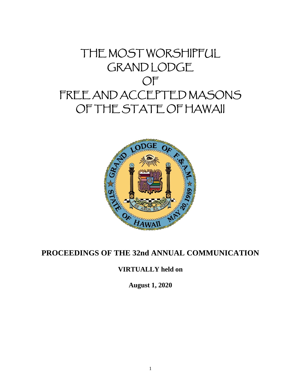# THE MOST WORSHIPFUL GRAND LODGE OF FREE AND ACCEPTED MASONS OF THE STATE OF HAWAII



# **PROCEEDINGS OF THE 32nd ANNUAL COMMUNICATION**

# **VIRTUALLY held on**

**August 1, 2020**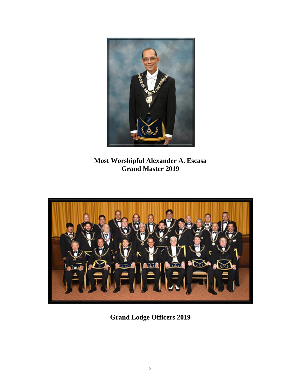

**Most Worshipful Alexander A. Escasa Grand Master 2019**



**Grand Lodge Officers 2019**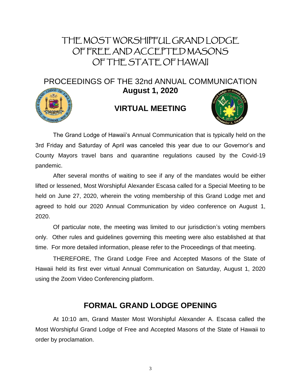# THE MOST WORSHIPFUL GRAND LODGE OF FREE AND ACCEPTED MASONS OF THE STATE OF HAWAII

PROCEEDINGS OF THE 32nd ANNUAL COMMUNICATION



**August 1, 2020**

# **VIRTUAL MEETING**



The Grand Lodge of Hawaii's Annual Communication that is typically held on the 3rd Friday and Saturday of April was canceled this year due to our Governor's and County Mayors travel bans and quarantine regulations caused by the Covid-19 pandemic.

After several months of waiting to see if any of the mandates would be either lifted or lessened, Most Worshipful Alexander Escasa called for a Special Meeting to be held on June 27, 2020, wherein the voting membership of this Grand Lodge met and agreed to hold our 2020 Annual Communication by video conference on August 1, 2020.

Of particular note, the meeting was limited to our jurisdiction's voting members only. Other rules and guidelines governing this meeting were also established at that time. For more detailed information, please refer to the Proceedings of that meeting.

THEREFORE, The Grand Lodge Free and Accepted Masons of the State of Hawaii held its first ever virtual Annual Communication on Saturday, August 1, 2020 using the Zoom Video Conferencing platform.

# **FORMAL GRAND LODGE OPENING**

At 10:10 am, Grand Master Most Worshipful Alexander A. Escasa called the Most Worshipful Grand Lodge of Free and Accepted Masons of the State of Hawaii to order by proclamation.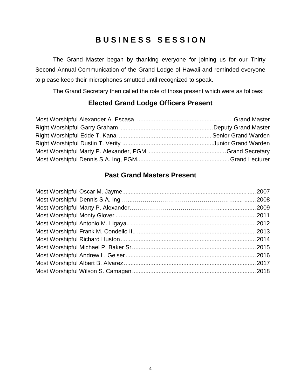# **B U S I N E S S S E S S I O N**

The Grand Master began by thanking everyone for joining us for our Thirty Second Annual Communication of the Grand Lodge of Hawaii and reminded everyone to please keep their microphones smutted until recognized to speak.

The Grand Secretary then called the role of those present which were as follows:

# **Elected Grand Lodge Officers Present**

# **Past Grand Masters Present**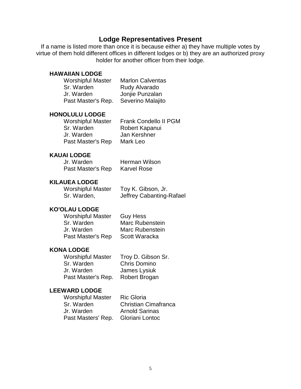## **Lodge Representatives Present**

If a name is listed more than once it is because either a) they have multiple votes by virtue of them hold different offices in different lodges or b) they are an authorized proxy holder for another officer from their lodge.

#### **HAWAIIAN LODGE**

| <b>Worshipful Master</b> | <b>Marlon Calventas</b> |  |
|--------------------------|-------------------------|--|
| Sr. Warden               | Rudy Alvarado           |  |
| Jr. Warden               | Jonjie Punzalan         |  |
| Past Master's Rep.       | Severino Malajito       |  |

#### **HONOLULU LODGE**

| <b>Worshipful Master</b> | Frank Condello II PGM |
|--------------------------|-----------------------|
| Sr. Warden               | Robert Kapanui        |
| Jr. Warden               | Jan Kershner          |
| Past Master's Rep        | Mark Leo              |

## **KAUAI LODGE**

| Jr. Warden        | <b>Herman Wilson</b> |
|-------------------|----------------------|
| Past Master's Rep | <b>Karvel Rose</b>   |

## **KILAUEA LODGE**

Worshipful Master Toy K. Gibson, Jr.

Sr. Warden, **Jeffrey Cabanting-Rafael** 

## **KO'OLAU LODGE**

| <b>Worshipful Master</b> | <b>Guy Hess</b>        |  |
|--------------------------|------------------------|--|
| Sr. Warden               | <b>Marc Rubenstein</b> |  |
| Jr. Warden               | Marc Rubenstein        |  |
| Past Master's Rep        | Scott Waracka          |  |

## **KONA LODGE**

Worshipful Master Troy D. Gibson Sr. Sr. Warden Chris Domino Jr. Warden James Lysiuk Past Master's Rep. Robert Brogan

#### **LEEWARD LODGE**

| <b>Worshipful Master</b> | <b>Ric Gloria</b>           |
|--------------------------|-----------------------------|
| Sr. Warden               | <b>Christian Cimafranca</b> |
| Jr. Warden               | <b>Arnold Sarinas</b>       |
| Past Masters' Rep.       | Gloriani Lontoc             |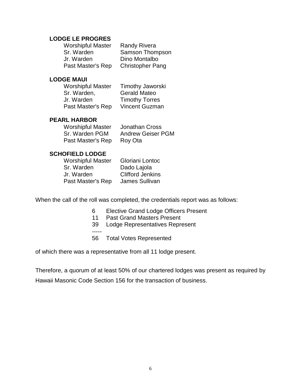## **LODGE LE PROGRES**

| <b>Worshipful Master</b> | <b>Randy Rivera</b>     |  |
|--------------------------|-------------------------|--|
| Sr. Warden               | Samson Thompson         |  |
| Jr. Warden               | Dino Montalbo           |  |
| Past Master's Rep        | <b>Christopher Pang</b> |  |

## **LODGE MAUI**

| Worshipful Master | <b>Timothy Jaworski</b> |  |
|-------------------|-------------------------|--|
| Sr. Warden,       | <b>Gerald Mateo</b>     |  |
| Jr. Warden        | <b>Timothy Torres</b>   |  |
| Past Master's Rep | Vincent Guzman          |  |

## **PEARL HARBOR**

| <b>Worshipful Master</b> | <b>Jonathan Cross</b>    |
|--------------------------|--------------------------|
| Sr. Warden PGM           | <b>Andrew Geiser PGM</b> |
| Past Master's Rep        | Roy Ota                  |

## **SCHOFIELD LODGE**

Sr. Warden Dado Lajola Jr. Warden Clifford Jenkins Past Master's Rep James Sullivan

Worshipful Master Gloriani Lontoc

When the call of the roll was completed, the credentials report was as follows:

- 6 Elective Grand Lodge Officers Present
- 11 Past Grand Masters Present
- 39 Lodge Representatives Represent
- -----
- 56 Total Votes Represented

of which there was a representative from all 11 lodge present.

Therefore, a quorum of at least 50% of our chartered lodges was present as required by Hawaii Masonic Code Section 156 for the transaction of business.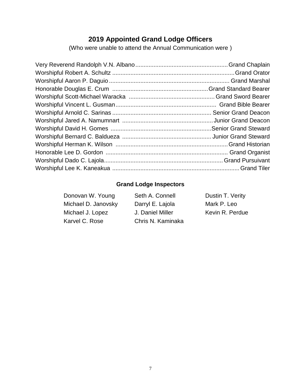# **2019 Appointed Grand Lodge Officers**

(Who were unable to attend the Annual Communication were )

# **Grand Lodge Inspectors**

| Seth A. Connell   | Dustin T. Verity |
|-------------------|------------------|
| Darryl E. Lajola  | Mark P. Leo      |
| J. Daniel Miller  | Kevin R. Perdue  |
| Chris N. Kaminaka |                  |
|                   |                  |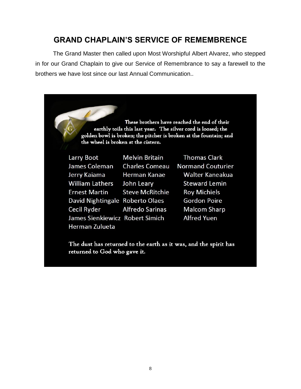# **GRAND CHAPLAIN'S SERVICE OF REMEMBRENCE**

The Grand Master then called upon Most Worshipful Albert Alvarez, who stepped in for our Grand Chaplain to give our Service of Remembrance to say a farewell to the brothers we have lost since our last Annual Communication..

> These brothers have reached the end of their earthly toils this last year. The silver cord is loosed; the golden bowl is broken; the pitcher is broken at the fountain; and the wheel is broken at the cistern.

| Larry Boot                      | <b>Melvin Britain</b>  |
|---------------------------------|------------------------|
| James Coleman                   | <b>Charles Comeau</b>  |
| Jerry Kaiama                    | Herman Kanae           |
| <b>William Lathers</b>          | John Leary             |
| <b>Ernest Martin</b>            | <b>Steve McRitchie</b> |
| David Nightingale Roberto Olaes |                        |
| <b>Cecil Ryder</b>              | <b>Alfredo Sarinas</b> |
| James Sienkiewicz Robert Simich |                        |
| Herman Zulueta                  |                        |

**Thomas Clark Normand Couturier** Walter Kaneakua **Steward Lemin Roy Michiels Gordon Poire Malcom Sharp Alfred Yuen** 

The dust has returned to the earth as it was, and the spirit has returned to God who gave it.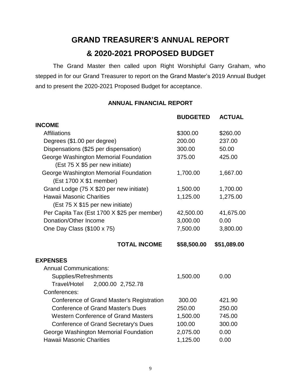# **GRAND TREASURER'S ANNUAL REPORT & 2020-2021 PROPOSED BUDGET**

The Grand Master then called upon Right Worshipful Garry Graham, who stepped in for our Grand Treasurer to report on the Grand Master's 2019 Annual Budget and to present the 2020-2021 Proposed Budget for acceptance.

## **ANNUAL FINANCIAL REPORT**

|                                                                  | <b>BUDGETED</b> | <b>ACTUAL</b> |
|------------------------------------------------------------------|-----------------|---------------|
| <b>INCOME</b>                                                    |                 |               |
| Affiliations                                                     | \$300.00        | \$260.00      |
| Degrees (\$1.00 per degree)                                      | 200.00          | 237.00        |
| Dispensations (\$25 per dispensation)                            | 300.00          | 50.00         |
| George Washington Memorial Foundation                            | 375.00          | 425.00        |
| (Est 75 X \$5 per new initiate)                                  |                 |               |
| George Washington Memorial Foundation<br>(Est 1700 X \$1 member) | 1,700.00        | 1,667.00      |
| Grand Lodge (75 X \$20 per new initiate)                         | 1,500.00        | 1,700.00      |
| <b>Hawaii Masonic Charities</b>                                  | 1,125.00        | 1,275.00      |
| (Est 75 X \$15 per new initiate)                                 |                 |               |
| Per Capita Tax (Est 1700 X \$25 per member)                      | 42,500.00       | 41,675.00     |
| Donation/Other Income                                            | 3,000.00        | 0.00          |
| One Day Class (\$100 x 75)                                       | 7,500.00        | 3,800.00      |
| <b>TOTAL INCOME</b>                                              | \$58,500.00     | \$51,089.00   |
| <b>EXPENSES</b>                                                  |                 |               |
| <b>Annual Communications:</b>                                    |                 |               |
| Supplies/Refreshments                                            | 1,500.00        | 0.00          |
| 2,000.00 2,752.78<br>Travel/Hotel                                |                 |               |
| Conferences:                                                     |                 |               |
| Conference of Grand Master's Registration                        | 300.00          | 421.90        |
| <b>Conference of Grand Master's Dues</b>                         | 250.00          | 250.00        |
| <b>Western Conference of Grand Masters</b>                       | 1,500.00        | 745.00        |
| <b>Conference of Grand Secretary's Dues</b>                      | 100.00          | 300.00        |
| George Washington Memorial Foundation                            | 2,075.00        | 0.00          |
| <b>Hawaii Masonic Charities</b>                                  | 1,125.00        | 0.00          |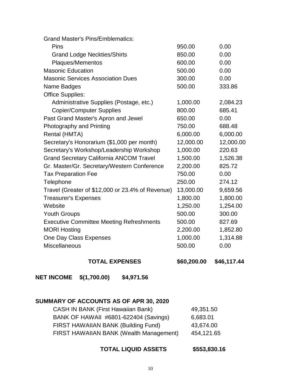| <b>Grand Master's Pins/Emblematics:</b>          |           |           |
|--------------------------------------------------|-----------|-----------|
| Pins                                             | 950.00    | 0.00      |
| <b>Grand Lodge Neckties/Shirts</b>               | 850.00    | 0.00      |
| Plaques/Mementos                                 | 600.00    | 0.00      |
| <b>Masonic Education</b>                         | 500.00    | 0.00      |
| <b>Masonic Services Association Dues</b>         | 300.00    | 0.00      |
| Name Badges                                      | 500.00    | 333.86    |
| <b>Office Supplies:</b>                          |           |           |
| Administrative Supplies (Postage, etc.)          | 1,000.00  | 2,084.23  |
| <b>Copier/Computer Supplies</b>                  | 800.00    | 685.41    |
| Past Grand Master's Apron and Jewel              | 650.00    | 0.00      |
| Photography and Printing                         | 750.00    | 688.48    |
| Rental (HMTA)                                    | 6,000.00  | 6,000.00  |
| Secretary's Honorarium (\$1,000 per month)       | 12,000.00 | 12,000.00 |
| Secretary's Workshop/Leadership Workshop         | 1,000.00  | 220.63    |
| <b>Grand Secretary California ANCOM Travel</b>   | 1,500.00  | 1,526.38  |
| Gr. Master/Gr. Secretary/Western Conference      | 2,200.00  | 825.72    |
| <b>Tax Preparation Fee</b>                       | 750.00    | 0.00      |
| Telephone                                        | 250.00    | 274.12    |
| Travel (Greater of \$12,000 or 23.4% of Revenue) | 13,000.00 | 9,659.56  |
| <b>Treasurer's Expenses</b>                      | 1,800.00  | 1,800.00  |
| Website                                          | 1,250.00  | 1,254.00  |
| <b>Youth Groups</b>                              | 500.00    | 300.00    |
| <b>Executive Committee Meeting Refreshments</b>  | 500.00    | 827.69    |
| <b>MORI Hosting</b>                              | 2,200.00  | 1,852.80  |
| One Day Class Expenses                           | 1,000.00  | 1,314.88  |
| <b>Miscellaneous</b>                             | 500.00    | 0.00      |
|                                                  |           |           |

## **TOTAL EXPENSES \$60,200.00 \$46,117.44**

**NET INCOME \$(1,700.00) \$4,971.56** 

# **SUMMARY OF ACCOUNTS AS OF APR 30, 2020**

| <b>CASH IN BANK (First Hawaiian Bank)</b> | 49,351.50  |
|-------------------------------------------|------------|
| BANK OF HAWAII #6801-622404 (Savings)     | 6,683.01   |
| FIRST HAWAIIAN BANK (Building Fund)       | 43,674.00  |
| FIRST HAWAIIAN BANK (Wealth Management)   | 454,121.65 |

## **TOTAL LIQUID ASSETS \$553,830.16**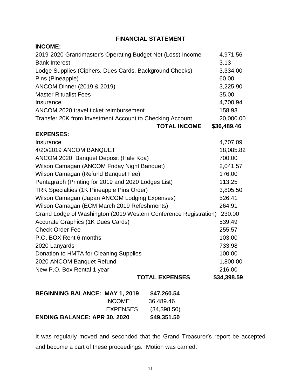## **FINANCIAL STATEMENT**

| <b>INCOME:</b>                                             |                 |                                                                  |             |
|------------------------------------------------------------|-----------------|------------------------------------------------------------------|-------------|
| 2019-2020 Grandmaster's Operating Budget Net (Loss) Income |                 |                                                                  | 4,971.56    |
| <b>Bank Interest</b>                                       |                 |                                                                  | 3.13        |
| Lodge Supplies (Ciphers, Dues Cards, Background Checks)    |                 |                                                                  | 3,334.00    |
| Pins (Pineapple)                                           |                 |                                                                  | 60.00       |
| ANCOM Dinner (2019 & 2019)                                 |                 |                                                                  | 3,225.90    |
| <b>Master Ritualist Fees</b>                               |                 |                                                                  | 35.00       |
| Insurance                                                  |                 |                                                                  | 4,700.94    |
| ANCOM 2020 travel ticket reimbursement                     |                 |                                                                  | 158.93      |
| Transfer 20K from Investment Account to Checking Account   |                 |                                                                  | 20,000.00   |
|                                                            |                 | <b>TOTAL INCOME</b>                                              | \$36,489.46 |
| <b>EXPENSES:</b>                                           |                 |                                                                  |             |
| Insurance                                                  |                 |                                                                  | 4,707.09    |
| 4/20/2019 ANCOM BANQUET                                    |                 |                                                                  | 18,085.82   |
| ANCOM 2020 Banquet Deposit (Hale Koa)                      |                 |                                                                  | 700.00      |
| Wilson Camagan (ANCOM Friday Night Banquet)                |                 |                                                                  | 2,041.57    |
| Wilson Camagan (Refund Banquet Fee)                        |                 |                                                                  | 176.00      |
| Pentagraph (Printing for 2019 and 2020 Lodges List)        |                 |                                                                  | 113.25      |
| TRK Specialties (1K Pineapple Pins Order)                  |                 |                                                                  | 3,805.50    |
| Wilson Camagan (Japan ANCOM Lodging Expenses)              |                 |                                                                  | 526.41      |
| Wilson Camagan (ECM March 2019 Refeshments)                |                 |                                                                  | 264.91      |
|                                                            |                 | Grand Lodge of Washington (2019 Western Conference Registration) | 230.00      |
| <b>Accurate Graphics (1K Dues Cards)</b>                   |                 |                                                                  | 539.49      |
| <b>Check Order Fee</b>                                     |                 |                                                                  | 255.57      |
| P.O. BOX Rent 6 months                                     |                 |                                                                  | 103.00      |
| 2020 Lanyards                                              |                 |                                                                  | 733.98      |
| Donation to HMTA for Cleaning Supplies                     |                 |                                                                  | 100.00      |
| 2020 ANCOM Banquet Refund                                  |                 |                                                                  | 1,800.00    |
| New P.O. Box Rental 1 year                                 |                 |                                                                  | 216.00      |
|                                                            |                 | <b>TOTAL EXPENSES</b>                                            | \$34,398.59 |
| <b>BEGINNING BALANCE: MAY 1, 2019</b>                      |                 | \$47,260.54                                                      |             |
|                                                            | <b>INCOME</b>   | 36,489.46                                                        |             |
|                                                            | <b>EXPENSES</b> | (34, 398.50)                                                     |             |
| <b>ENDING BALANCE: APR 30, 2020</b>                        |                 | \$49,351.50                                                      |             |

It was regularly moved and seconded that the Grand Treasurer's report be accepted and become a part of these proceedings. Motion was carried.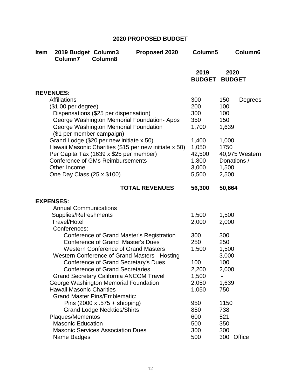# **2020 PROPOSED BUDGET**

| <b>Item</b> | 2019 Budget Column3<br>Column7                                                                                                                                               | Column <sub>8</sub>                                                                                                                                                                                                               | Proposed 2020                                                                              | Column5                                                        | Column6                                                          |
|-------------|------------------------------------------------------------------------------------------------------------------------------------------------------------------------------|-----------------------------------------------------------------------------------------------------------------------------------------------------------------------------------------------------------------------------------|--------------------------------------------------------------------------------------------|----------------------------------------------------------------|------------------------------------------------------------------|
|             |                                                                                                                                                                              |                                                                                                                                                                                                                                   |                                                                                            | 2019<br><b>BUDGET</b>                                          | 2020<br><b>BUDGET</b>                                            |
|             | <b>REVENUES:</b>                                                                                                                                                             |                                                                                                                                                                                                                                   |                                                                                            |                                                                |                                                                  |
|             | <b>Affiliations</b><br>(\$1.00 per degree)<br>(\$1 per member campaign)                                                                                                      | Dispensations (\$25 per dispensation)<br>George Washington Memorial Foundation                                                                                                                                                    | George Washington Memorial Foundation- Apps                                                | 300<br>200<br>300<br>350<br>1,700                              | 150<br>Degrees<br>100<br>100<br>150<br>1,639                     |
|             | Grand Lodge (\$20 per new initiate x 50)<br>Per Capita Tax (1639 x \$25 per member)<br><b>Conference of GMs Reimbursements</b><br>Other Income<br>One Day Class (25 x \$100) |                                                                                                                                                                                                                                   | Hawaii Masonic Charities (\$15 per new initiate x 50)                                      | 1,400<br>1,050<br>42,500<br>1,800<br>3,000<br>5,500            | 1,000<br>1750<br>40,975 Western<br>Donations /<br>1,500<br>2,500 |
|             |                                                                                                                                                                              |                                                                                                                                                                                                                                   | <b>TOTAL REVENUES</b>                                                                      | 56,300                                                         | 50,664                                                           |
|             | <b>EXPENSES:</b><br><b>Annual Communications</b><br>Supplies/Refreshments<br><b>Travel/Hotel</b><br>Conferences:                                                             |                                                                                                                                                                                                                                   |                                                                                            | 1,500<br>2,000                                                 | 1,500<br>2,000                                                   |
|             | George Washington Memorial Foundation<br><b>Hawaii Masonic Charities</b>                                                                                                     | <b>Conference of Grand Master's Dues</b><br><b>Western Conference of Grand Masters</b><br><b>Conference of Grand Secretary's Dues</b><br><b>Conference of Grand Secretaries</b><br><b>Grand Secretary California ANCOM Travel</b> | Conference of Grand Master's Registration<br>Western Conference of Grand Masters - Hosting | 300<br>250<br>1,500<br>100<br>2,200<br>1,500<br>2,050<br>1,050 | 300<br>250<br>1,500<br>3,000<br>100<br>2,000<br>1,639<br>750     |
|             | Plaques/Mementos<br><b>Masonic Education</b><br>Name Badges                                                                                                                  | <b>Grand Master Pins/Emblematic:</b><br>Pins $(2000 \times .575 +$ shipping)<br><b>Grand Lodge Neckties/Shirts</b><br><b>Masonic Services Association Dues</b>                                                                    |                                                                                            | 950<br>850<br>600<br>500<br>300<br>500                         | 1150<br>738<br>521<br>350<br>300<br>Office<br>300                |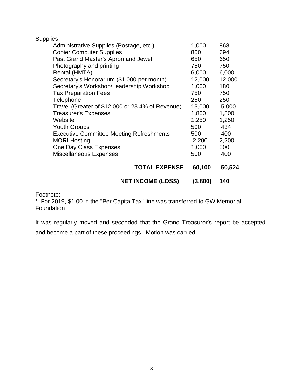| <b>Supplies</b>                                  |         |        |
|--------------------------------------------------|---------|--------|
| Administrative Supplies (Postage, etc.)          | 1,000   | 868    |
| <b>Copier Computer Supplies</b>                  | 800     | 694    |
| Past Grand Master's Apron and Jewel              | 650     | 650    |
| Photography and printing                         | 750     | 750    |
| Rental (HMTA)                                    | 6,000   | 6,000  |
| Secretary's Honorarium (\$1,000 per month)       | 12,000  | 12,000 |
| Secretary's Workshop/Leadership Workshop         | 1,000   | 180    |
| <b>Tax Preparation Fees</b>                      | 750     | 750    |
| Telephone                                        | 250     | 250    |
| Travel (Greater of \$12,000 or 23.4% of Revenue) | 13,000  | 5,000  |
| <b>Treasurer's Expenses</b>                      | 1,800   | 1,800  |
| Website                                          | 1,250   | 1,250  |
| <b>Youth Groups</b>                              | 500     | 434    |
| <b>Executive Committee Meeting Refreshments</b>  | 500     | 400    |
| <b>MORI Hosting</b>                              | 2,200   | 2,200  |
| One Day Class Expenses                           | 1,000   | 500    |
| Miscellaneous Expenses                           | 500     | 400    |
| <b>TOTAL EXPENSE</b>                             | 60,100  | 50,524 |
| <b>NET INCOME (LOSS)</b>                         | (3,800) | 140    |

Footnote:

\* For 2019, \$1.00 in the "Per Capita Tax" line was transferred to GW Memorial Foundation

It was regularly moved and seconded that the Grand Treasurer's report be accepted and become a part of these proceedings. Motion was carried.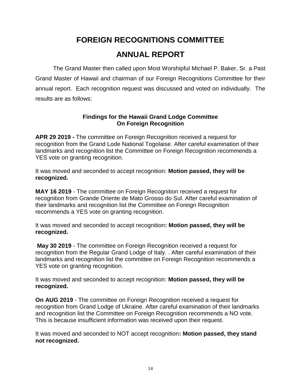# **FOREIGN RECOGNITIONS COMMITTEE ANNUAL REPORT**

The Grand Master then called upon Most Worshipful Michael P. Baker, Sr. a Past Grand Master of Hawaii and chairman of our Foreign Recognitions Committee for their annual report. Each recognition request was discussed and voted on individually. The results are as follows:

## **Findings for the Hawaii Grand Lodge Committee On Foreign Recognition**

**APR 29 2019 -** The committee on Foreign Recognition received a request for recognition from the Grand Lode National Togolaise. After careful examination of their landmarks and recognition list the Committee on Foreign Recognition recommends a YES vote on granting recognition.

It was moved and seconded to accept recognition: **Motion passed, they will be recognized.**

**MAY 16 2019** - The committee on Foreign Recognition received a request for recognition from Grande Oriente de Mato Grosso do Sul. After careful examination of their landmarks and recognition list the Committee on Foreign Recognition recommends a YES vote on granting recognition.

It was moved and seconded to accept recognition**: Motion passed, they will be recognized.**

**May 30 2019** - The committee on Foreign Recognition received a request for recognition from the Regular Grand Lodge of Italy. . After careful examination of their landmarks and recognition list the committee on Foreign Recognition recommends a YES vote on granting recognition.

It was moved and seconded to accept recognition: **Motion passed, they will be recognized.**

**On AUG 2019** - The committee on Foreign Recognition received a request for recognition from Grand Lodge of Ukraine. After careful examination of their landmarks and recognition list the Committee on Foreign Recognition recommends a NO vote. This is because insufficient information was received upon their request.

It was moved and seconded to NOT accept recognition**: Motion passed, they stand not recognized.**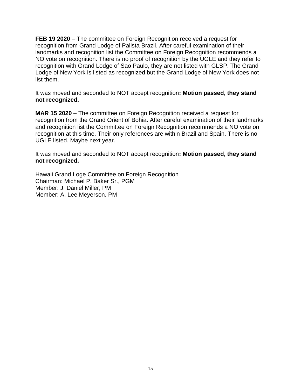**FEB 19 2020** – The committee on Foreign Recognition received a request for recognition from Grand Lodge of Palista Brazil. After careful examination of their landmarks and recognition list the Committee on Foreign Recognition recommends a NO vote on recognition. There is no proof of recognition by the UGLE and they refer to recognition with Grand Lodge of Sao Paulo, they are not listed with GLSP. The Grand Lodge of New York is listed as recognized but the Grand Lodge of New York does not list them.

It was moved and seconded to NOT accept recognition**: Motion passed, they stand not recognized.**

**MAR 15 2020** – The committee on Foreign Recognition received a request for recognition from the Grand Orient of Bohia. After careful examination of their landmarks and recognition list the Committee on Foreign Recognition recommends a NO vote on recognition at this time. Their only references are within Brazil and Spain. There is no UGLE listed. Maybe next year.

It was moved and seconded to NOT accept recognition**: Motion passed, they stand not recognized.**

Hawaii Grand Loge Committee on Foreign Recognition Chairman: Michael P. Baker Sr., PGM Member: J. Daniel Miller, PM Member: A. Lee Meyerson, PM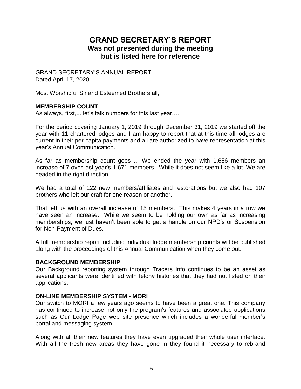# **GRAND SECRETARY'S REPORT Was not presented during the meeting but is listed here for reference**

GRAND SECRETARY'S ANNUAL REPORT Dated April 17, 2020

Most Worshipful Sir and Esteemed Brothers all,

## **MEMBERSHIP COUNT**

As always, first,... let's talk numbers for this last year,...

For the period covering January 1, 2019 through December 31, 2019 we started off the year with 11 chartered lodges and I am happy to report that at this time all lodges are current in their per-capita payments and all are authorized to have representation at this year's Annual Communication.

As far as membership count goes ... We ended the year with 1,656 members an increase of 7 over last year's 1,671 members. While it does not seem like a lot. We are headed in the right direction.

We had a total of 122 new members/affiliates and restorations but we also had 107 brothers who left our craft for one reason or another.

That left us with an overall increase of 15 members. This makes 4 years in a row we have seen an increase. While we seem to be holding our own as far as increasing memberships, we just haven't been able to get a handle on our NPD's or Suspension for Non-Payment of Dues.

A full membership report including individual lodge membership counts will be published along with the proceedings of this Annual Communication when they come out.

#### **BACKGROUND MEMBERSHIP**

Our Background reporting system through Tracers Info continues to be an asset as several applicants were identified with felony histories that they had not listed on their applications.

#### **ON-LINE MEMBERSHIP SYSTEM - MORI**

Our switch to MORI a few years ago seems to have been a great one. This company has continued to increase not only the program's features and associated applications such as Our Lodge Page web site presence which includes a wonderful member's portal and messaging system.

Along with all their new features they have even upgraded their whole user interface. With all the fresh new areas they have gone in they found it necessary to rebrand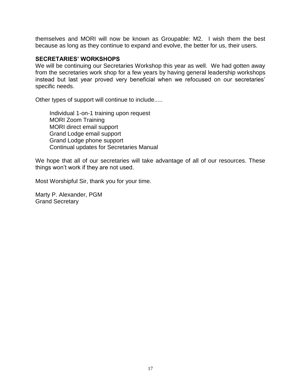themselves and MORI will now be known as Groupable: M2. I wish them the best because as long as they continue to expand and evolve, the better for us, their users.

#### **SECRETARIES' WORKSHOPS**

We will be continuing our Secretaries Workshop this year as well. We had gotten away from the secretaries work shop for a few years by having general leadership workshops instead but last year proved very beneficial when we refocused on our secretaries' specific needs.

Other types of support will continue to include.....

Individual 1-on-1 training upon request MORI Zoom Training MORI direct email support Grand Lodge email support Grand Lodge phone support Continual updates for Secretaries Manual

We hope that all of our secretaries will take advantage of all of our resources. These things won't work if they are not used.

Most Worshipful Sir, thank you for your time.

Marty P. Alexander, PGM Grand Secretary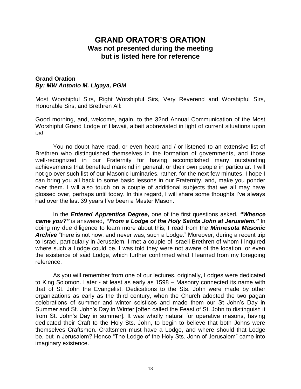# **GRAND ORATOR'S ORATION Was not presented during the meeting but is listed here for reference**

#### **Grand Oration**  *By: MW Antonio M. Ligaya, PGM*

Most Worshipful Sirs, Right Worshipful Sirs, Very Reverend and Worshipful Sirs, Honorable Sirs, and Brethren All:

Good morning, and, welcome, again, to the 32nd Annual Communication of the Most Worshipful Grand Lodge of Hawaii, albeit abbreviated in light of current situations upon us!

You no doubt have read, or even heard and / or listened to an extensive list of Brethren who distinguished themselves in the formation of governments, and those well-recognized in our Fraternity for having accomplished many outstanding achievements that benefited mankind in general, or their own people in particular. I will not go over such list of our Masonic luminaries, rather, for the next few minutes, I hope I can bring you all back to some basic lessons in our Fraternity, and, make you ponder over them. I will also touch on a couple of additional subjects that we all may have glossed over, perhaps until today. In this regard, I will share some thoughts I've always had over the last 39 years I've been a Master Mason.

In the *Entered Apprentice Degree,* one of the first questions asked, *"Whence came you?"* is answered, *"From a Lodge of the Holy Saints John at Jerusalem."* In doing my due diligence to learn more about this, I read from the *Minnesota Masonic Archive* "there is not now, and never was, such a Lodge." Moreover, during a recent trip to Israel, particularly in Jerusalem, I met a couple of Israeli Brethren of whom I inquired where such a Lodge could be. I was told they were not aware of the location, or even the existence of said Lodge, which further confirmed what I learned from my foregoing reference.

As you will remember from one of our lectures, originally, Lodges were dedicated to King Solomon. Later - at least as early as 1598 – Masonry connected its name with that of St. John the Evangelist. Dedications to the Sts. John were made by other organizations as early as the third century, when the Church adopted the two pagan celebrations of summer and winter solstices and made them our St John's Day in Summer and St. John's Day in Winter [often called the Feast of St. John to distinguish it from St. John's Day in summer]. It was wholly natural for operative masons, having dedicated their Craft to the Holy Sts. John, to begin to believe that both Johns were themselves Craftsmen. Craftsmen must have a Lodge, and where should that Lodge be, but in Jerusalem? Hence "The Lodge of the Holy Sts. John of Jerusalem" came into imaginary existence.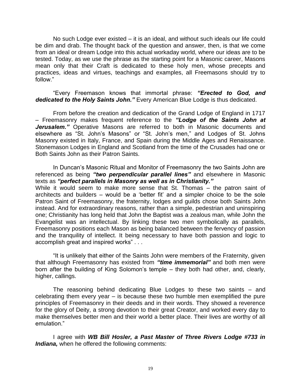No such Lodge ever existed – it is an ideal, and without such ideals our life could be dim and drab. The thought back of the question and answer, then, is that we come from an ideal or dream Lodge into this actual workaday world, where our ideas are to be tested. Today, as we use the phrase as the starting point for a Masonic career, Masons mean only that their Craft is dedicated to these holy men, whose precepts and practices, ideas and virtues, teachings and examples, all Freemasons should try to follow."

"Every Freemason knows that immortal phrase: *"Erected to God, and dedicated to the Holy Saints John."* Every American Blue Lodge is thus dedicated.

From before the creation and dedication of the Grand Lodge of England in 1717 – Freemasonry makes frequent reference to the *"Lodge of the Saints John at Jerusalem."* Operative Masons are referred to both in Masonic documents and elsewhere as "St. John's Masons" or "St. John's men," and Lodges of St. Johns Masonry existed in Italy, France, and Spain during the Middle Ages and Renaissance. Stonemason Lodges in England and Scotland from the time of the Crusades had one or Both Saints John as their Patron Saints.

In Duncan's Masonic Ritual and Monitor of Freemasonry the two Saints John are referenced as being *"two perpendicular parallel lines"* and elsewhere in Masonic texts as *"perfect parallels in Masonry as well as in Christianity."*  While it would seem to make more sense that St. Thomas – the patron saint of architects and builders – would be a 'better fit' and a simpler choice to be the sole Patron Saint of Freemasonry, the fraternity, lodges and guilds chose both Saints John instead. And for extraordinary reasons, rather than a simple, pedestrian and uninspiring

one; Christianity has long held that John the Baptist was a zealous man, while John the Evangelist was an intellectual. By linking these two men symbolically as parallels, Freemasonry positions each Mason as being balanced between the fervency of passion and the tranquility of intellect. It being necessary to have both passion and logic to accomplish great and inspired works" . . .

"It is unlikely that either of the Saints John were members of the Fraternity, given that although Freemasonry has existed from *"time immemorial"* and both men were born after the building of King Solomon's temple – they both had other, and, clearly, higher, callings.

The reasoning behind dedicating Blue Lodges to these two saints – and celebrating them every year – is because these two humble men exemplified the pure principles of Freemasonry in their deeds and in their words. They showed a reverence for the glory of Deity, a strong devotion to their great Creator, and worked every day to make themselves better men and their world a better place. Their lives are worthy of all emulation."

I agree with *WB Bill Hosler, a Past Master of Three Rivers Lodge #733 in Indiana,* when he offered the following comments: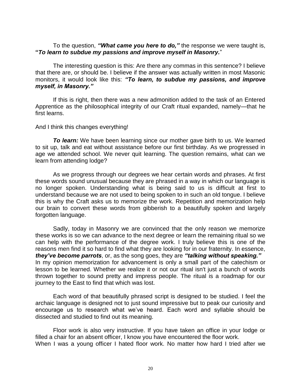#### To the question, *"What came you here to do,"* the response we were taught is, **"***To learn to subdue my passions and improve myself in Masonry.*"

The interesting question is this: Are there any commas in this sentence? I believe that there are, or should be. I believe if the answer was actually written in most Masonic monitors, it would look like this: *"To learn, to subdue my passions, and improve myself, in Masonry."* 

If this is right, then there was a new admonition added to the task of an Entered Apprentice as the philosophical integrity of our Craft ritual expanded, namely—that he first learns.

#### And I think this changes everything!

**To learn:** We have been learning since our mother gave birth to us. We learned to sit up, talk and eat without assistance before our first birthday. As we progressed in age we attended school. We never quit learning. The question remains, what can we learn from attending lodge?

As we progress through our degrees we hear certain words and phrases. At first these words sound unusual because they are phrased in a way in which our language is no longer spoken. Understanding what is being said to us is difficult at first to understand because we are not used to being spoken to in such an old tongue. I believe this is why the Craft asks us to memorize the work. Repetition and memorization help our brain to convert these words from gibberish to a beautifully spoken and largely forgotten language.

Sadly, today in Masonry we are convinced that the only reason we memorize these works is so we can advance to the next degree or learn the remaining ritual so we can help with the performance of the degree work. I truly believe this is one of the reasons men find it so hard to find what they are looking for in our fraternity. In essence, *they've become parrots*, or, as the song goes, they are *"talking without speaking."*  In my opinion memorization for advancement is only a small part of the catechism or lesson to be learned. Whether we realize it or not our ritual isn't just a bunch of words thrown together to sound pretty and impress people. The ritual is a roadmap for our journey to the East to find that which was lost.

Each word of that beautifully phrased script is designed to be studied. I feel the archaic language is designed not to just sound impressive but to peak our curiosity and encourage us to research what we've heard. Each word and syllable should be dissected and studied to find out its meaning.

Floor work is also very instructive. If you have taken an office in your lodge or filled a chair for an absent officer, I know you have encountered the floor work. When I was a young officer I hated floor work. No matter how hard I tried after we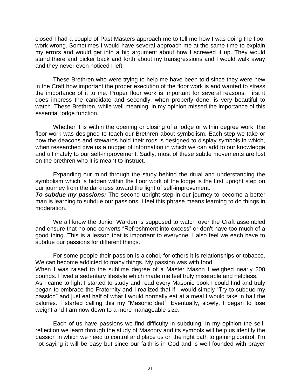closed I had a couple of Past Masters approach me to tell me how I was doing the floor work wrong. Sometimes I would have several approach me at the same time to explain my errors and would get into a big argument about how I screwed it up. They would stand there and bicker back and forth about my transgressions and I would walk away and they never even noticed I left!

These Brethren who were trying to help me have been told since they were new in the Craft how important the proper execution of the floor work is and wanted to stress the importance of it to me. Proper floor work is important for several reasons. First it does impress the candidate and secondly, when properly done, is very beautiful to watch. These Brethren, while well meaning, in my opinion missed the importance of this essential lodge function.

Whether it is within the opening or closing of a lodge or within degree work, the floor work was designed to teach our Brethren about symbolism. Each step we take or how the deacons and stewards hold their rods is designed to display symbols in which, when researched give us a nugget of information in which we can add to our knowledge and ultimately to our self-improvement. Sadly, most of these subtle movements are lost on the brethren who it is meant to instruct.

Expanding our mind through the study behind the ritual and understanding the symbolism which is hidden within the floor work of the lodge is the first upright step on our journey from the darkness toward the light of self-improvement.

**To subdue my passions:** The second upright step in our journey to become a better man is learning to subdue our passions. I feel this phrase means learning to do things in moderation.

We all know the Junior Warden is supposed to watch over the Craft assembled and ensure that no one converts "Refreshment into excess" or don't have too much of a good thing. This is a lesson that is important to everyone. I also feel we each have to subdue our passions for different things.

For some people their passion is alcohol, for others it is relationships or tobacco. We can become addicted to many things. My passion was with food.

When I was raised to the sublime degree of a Master Mason I weighed nearly 200 pounds. I lived a sedentary lifestyle which made me feel truly miserable and helpless.

As I came to light I started to study and read every Masonic book I could find and truly began to embrace the Fraternity and I realized that if I would simply "Try to subdue my passion" and just eat half of what I would normally eat at a meal I would take in half the calories. I started calling this my "Masonic diet". Eventually, slowly, I began to lose weight and I am now down to a more manageable size.

Each of us have passions we find difficulty in subduing. In my opinion the selfreflection we learn through the study of Masonry and its symbols will help us identify the passion in which we need to control and place us on the right path to gaining control. I'm not saying it will be easy but since our faith is in God and is well founded with prayer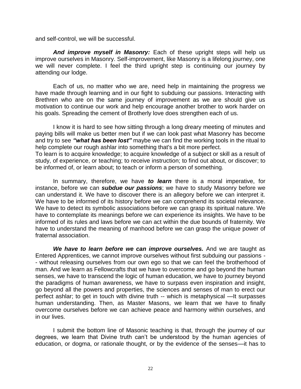and self-control, we will be successful.

*And improve myself in Masonry:* Each of these upright steps will help us improve ourselves in Masonry. Self-improvement, like Masonry is a lifelong journey, one we will never complete. I feel the third upright step is continuing our journey by attending our lodge.

Each of us, no matter who we are, need help in maintaining the progress we have made through learning and in our fight to subduing our passions. Interacting with Brethren who are on the same journey of improvement as we are should give us motivation to continue our work and help encourage another brother to work harder on his goals. Spreading the cement of Brotherly love does strengthen each of us.

I know it is hard to see how sitting through a long dreary meeting of minutes and paying bills will make us better men but if we can look past what Masonry has become and try to see *"what has been lost"* maybe we can find the working tools in the ritual to help complete our rough ashlar into something that's a bit more perfect.

To learn is to acquire knowledge; to acquire knowledge of a subject or skill as a result of study, of experience, or teaching; to receive instruction; to find out about, or discover; to be informed of, or learn about; to teach or inform a person of something.

In summary, therefore, we have *to learn* there is a moral imperative, for instance, before we can *subdue our passions*; we have to study Masonry before we can understand it. We have to discover there is an allegory before we can interpret it. We have to be informed of its history before we can comprehend its societal relevance. We have to detect its symbolic associations before we can grasp its spiritual nature. We have to contemplate its meanings before we can experience its insights. We have to be informed of its rules and laws before we can act within the due bounds of fraternity. We have to understand the meaning of manhood before we can grasp the unique power of fraternal association.

*We have to learn before we can improve ourselves.* And we are taught as Entered Apprentices, we cannot improve ourselves without first subduing our passions - - without releasing ourselves from our own ego so that we can feel the brotherhood of man. And we learn as Fellowcrafts that we have to overcome and go beyond the human senses, we have to transcend the logic of human education, we have to journey beyond the paradigms of human awareness, we have to surpass even inspiration and insight, go beyond all the powers and properties, the sciences and senses of man to erect our perfect ashlar; to get in touch with divine truth -- which is metaphysical —It surpasses human understanding. Then, as Master Masons, we learn that we have to finally overcome ourselves before we can achieve peace and harmony within ourselves, and in our lives.

I submit the bottom line of Masonic teaching is that, through the journey of our degrees, we learn that Divine truth can't be understood by the human agencies of education, or dogma, or rationale thought, or by the evidence of the senses—it has to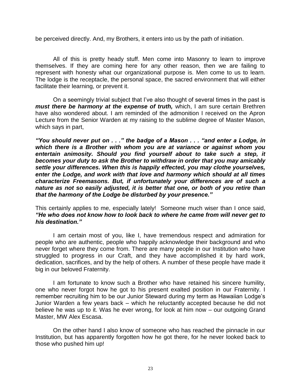be perceived directly. And, my Brothers, it enters into us by the path of initiation.

All of this is pretty heady stuff. Men come into Masonry to learn to improve themselves. If they are coming here for any other reason, then we are failing to represent with honesty what our organizational purpose is. Men come to us to learn. The lodge is the receptacle, the personal space, the sacred environment that will either facilitate their learning, or prevent it.

On a seemingly trivial subject that I've also thought of several times in the past is *must there be harmony at the expense of truth, which, I am sure certain Brethren* have also wondered about. I am reminded of the admonition I received on the Apron Lecture from the Senior Warden at my raising to the sublime degree of Master Mason, which says in part,

*"You should never put on . . ." the badge of a Mason . . . "and enter a Lodge, in which there is a Brother with whom you are at variance or against whom you entertain animosity. Should you find yourself about to take such a step, it becomes your duty to ask the Brother to withdraw in order that you may amicably settle your differences. When this is happily effected, you may clothe yourselves, enter the Lodge, and work with that love and harmony which should at all times characterize Freemasons. But, if unfortunately your differences are of such a nature as not so easily adjusted, it is better that one, or both of you retire than that the harmony of the Lodge be disturbed by your presence."* 

This certainly applies to me, especially lately! Someone much wiser than I once said, *"He who does not know how to look back to where he came from will never get to his destination."* 

I am certain most of you, like I, have tremendous respect and admiration for people who are authentic, people who happily acknowledge their background and who never forget where they come from. There are many people in our Institution who have struggled to progress in our Craft, and they have accomplished it by hard work, dedication, sacrifices, and by the help of others. A number of these people have made it big in our beloved Fraternity.

I am fortunate to know such a Brother who have retained his sincere humility, one who never forgot how he got to his present exalted position in our Fraternity. I remember recruiting him to be our Junior Steward during my term as Hawaiian Lodge's Junior Warden a few years back – which he reluctantly accepted because he did not believe he was up to it. Was he ever wrong, for look at him now – our outgoing Grand Master, MW Alex Escasa.

On the other hand I also know of someone who has reached the pinnacle in our Institution, but has apparently forgotten how he got there, for he never looked back to those who pushed him up!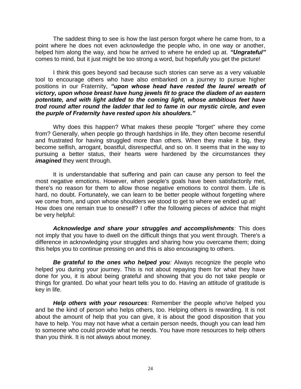The saddest thing to see is how the last person forgot where he came from, to a point where he does not even acknowledge the people who, in one way or another, helped him along the way, and how he arrived to where he ended up at. *"Ungrateful"*  comes to mind, but it just might be too strong a word, but hopefully you get the picture!

I think this goes beyond sad because such stories can serve as a very valuable tool to encourage others who have also embarked on a journey to pursue higher positions in our Fraternity, *"upon whose head have rested the laurel wreath of victory, upon whose breast have hung jewels fit to grace the diadem of an eastern potentate, and with light added to the coming light, whose ambitious feet have trod round after round the ladder that led to fame in our mystic circle, and even the purple of Fraternity have rested upon his shoulders."* 

Why does this happen? What makes these people "forget" where they come from? Generally, when people go through hardships in life, they often become resentful and frustrated for having struggled more than others. When they make it big, they become selfish, arrogant, boastful, disrespectful, and so on. It seems that in the way to pursuing a better status, their hearts were hardened by the circumstances they *imagined* they went through.

It is understandable that suffering and pain can cause any person to feel the most negative emotions. However, when people's goals have been satisfactorily met, there's no reason for them to allow those negative emotions to control them. Life is hard, no doubt. Fortunately, we can learn to be better people without forgetting where we come from, and upon whose shoulders we stood to get to where we ended up at! How does one remain true to oneself? I offer the following pieces of advice that might be very helpful:

*Acknowledge and share your struggles and accomplishments:* This does not imply that you have to dwell on the difficult things that you went through. There's a difference in acknowledging your struggles and sharing how you overcame them; doing this helps you to continue pressing on and this is also encouraging to others.

*Be grateful to the ones who helped you:* Always recognize the people who helped you during your journey. This is not about repaying them for what they have done for you, it is about being grateful and showing that you do not take people or things for granted. Do what your heart tells you to do. Having an attitude of gratitude is key in life.

*Help others with your resources:* Remember the people who've helped you and be the kind of person who helps others, too. Helping others is rewarding. It is not about the amount of help that you can give, it is about the good disposition that you have to help. You may not have what a certain person needs, though you can lead him to someone who could provide what he needs. You have more resources to help others than you think. It is not always about money.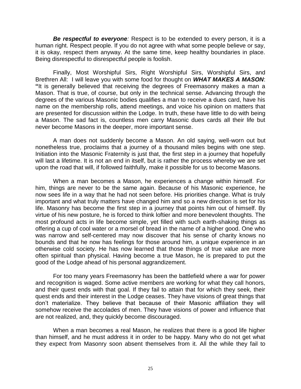**Be respectful to everyone**: Respect is to be extended to every person, it is a human right. Respect people. If you do not agree with what some people believe or say, it is okay, respect them anyway. At the same time, keep healthy boundaries in place. Being disrespectful to disrespectful people is foolish.

Finally, Most Worshipful Sirs, Right Worshipful Sirs, Worshipful Sirs, and Brethren All: I will leave you with some food for thought on *WHAT MAKES A MASON*: **"**It is generally believed that receiving the degrees of Freemasonry makes a man a Mason. That is true, of course, but only in the technical sense. Advancing through the degrees of the various Masonic bodies qualifies a man to receive a dues card, have his name on the membership rolls, attend meetings, and voice his opinion on matters that are presented for discussion within the Lodge. In truth, these have little to do with being a Mason. The sad fact is, countless men carry Masonic dues cards all their life but never become Masons in the deeper, more important sense.

A man does not suddenly become a Mason. An old saying, well-worn out but nonetheless true, proclaims that a journey of a thousand miles begins with one step. Initiation into the Masonic Fraternity is just that, the first step in a journey that hopefully will last a lifetime. It is not an end in itself, but is rather the process whereby we are set upon the road that will, if followed faithfully, make it possible for us to become Masons.

When a man becomes a Mason, he experiences a change within himself. For him, things are never to be the same again. Because of his Masonic experience, he now sees life in a way that he had not seen before. His priorities change. What is truly important and what truly matters have changed him and so a new direction is set for his life. Masonry has become the first step in a journey that points him out of himself. By virtue of his new posture, he is forced to think loftier and more benevolent thoughts. The most profound acts in life become simple, yet filled with such earth-shaking things as offering a cup of cool water or a morsel of bread in the name of a higher good. One who was narrow and self-centered may now discover that his sense of charity knows no bounds and that he now has feelings for those around him, a unique experience in an otherwise cold society. He has now learned that those things of true value are more often spiritual than physical. Having become a true Mason, he is prepared to put the good of the Lodge ahead of his personal aggrandizement.

For too many years Freemasonry has been the battlefield where a war for power and recognition is waged. Some active members are working for what they call honors, and their quest ends with that goal. If they fail to attain that for which they seek, their quest ends and their interest in the Lodge ceases. They have visions of great things that don't materialize. They believe that because of their Masonic affiliation they will somehow receive the accolades of men. They have visions of power and influence that are not realized, and, they quickly become discouraged.

When a man becomes a real Mason, he realizes that there is a good life higher than himself, and he must address it in order to be happy. Many who do not get what they expect from Masonry soon absent themselves from it. All the while they fail to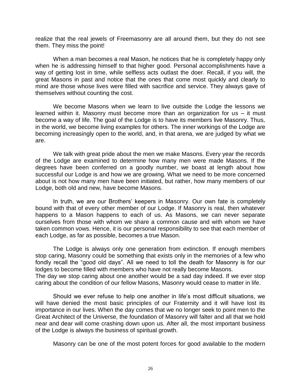realize that the real jewels of Freemasonry are all around them, but they do not see them. They miss the point!

When a man becomes a real Mason, he notices that he is completely happy only when he is addressing himself to that higher good. Personal accomplishments have a way of getting lost in time, while selfless acts outlast the doer. Recall, if you will, the great Masons in past and notice that the ones that come most quickly and clearly to mind are those whose lives were filled with sacrifice and service. They always gave of themselves without counting the cost.

We become Masons when we learn to live outside the Lodge the lessons we learned within it. Masonry must become more than an organization for us – it must become a way of life. The goal of the Lodge is to have its members live Masonry. Thus, in the world, we become living examples for others. The inner workings of the Lodge are becoming increasingly open to the world, and, in that arena, we are judged by what we are.

We talk with great pride about the men we make Masons. Every year the records of the Lodge are examined to determine how many men were made Masons. If the degrees have been conferred on a goodly number, we boast at length about how successful our Lodge is and how we are growing. What we need to be more concerned about is not how many men have been initiated, but rather, how many members of our Lodge, both old and new, have become Masons.

In truth, we are our Brothers' keepers in Masonry. Our own fate is completely bound with that of every other member of our Lodge. If Masonry is real, then whatever happens to a Mason happens to each of us. As Masons, we can never separate ourselves from those with whom we share a common cause and with whom we have taken common vows. Hence, it is our personal responsibility to see that each member of each Lodge, as far as possible, becomes a true Mason.

The Lodge is always only one generation from extinction. If enough members stop caring, Masonry could be something that exists only in the memories of a few who fondly recall the "good old days". All we need to toll the death for Masonry is for our lodges to become filled with members who have not really become Masons. The day we stop caring about one another would be a sad day indeed. If we ever stop

caring about the condition of our fellow Masons, Masonry would cease to matter in life.

Should we ever refuse to help one another in life's most difficult situations, we will have denied the most basic principles of our Fraternity and it will have lost its importance in our lives. When the day comes that we no longer seek to point men to the Great Architect of the Universe, the foundation of Masonry will falter and all that we hold near and dear will come crashing down upon us. After all, the most important business of the Lodge is always the business of spiritual growth.

Masonry can be one of the most potent forces for good available to the modern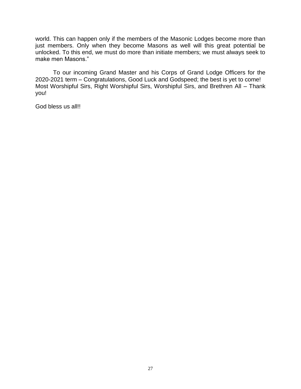world. This can happen only if the members of the Masonic Lodges become more than just members. Only when they become Masons as well will this great potential be unlocked. To this end, we must do more than initiate members; we must always seek to make men Masons."

To our incoming Grand Master and his Corps of Grand Lodge Officers for the 2020-2021 term – Congratulations, Good Luck and Godspeed; the best is yet to come! Most Worshipful Sirs, Right Worshipful Sirs, Worshipful Sirs, and Brethren All – Thank you!

God bless us all!!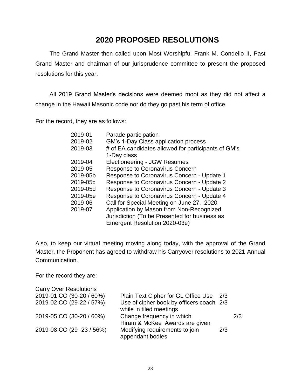# **2020 PROPOSED RESOLUTIONS**

The Grand Master then called upon Most Worshipful Frank M. Condello II, Past Grand Master and chairman of our jurisprudence committee to present the proposed resolutions for this year.

All 2019 Grand Master's decisions were deemed moot as they did not affect a change in the Hawaii Masonic code nor do they go past his term of office.

For the record, they are as follows:

| 2019-01  | Parade participation                                |
|----------|-----------------------------------------------------|
| 2019-02  | GM's 1-Day Class application process                |
| 2019-03  | # of EA candidates allowed for participants of GM's |
|          | 1-Day class                                         |
| 2019-04  | <b>Electioneering - JGW Resumes</b>                 |
| 2019-05  | <b>Response to Coronavirus Concern</b>              |
| 2019-05b | Response to Coronavirus Concern - Update 1          |
| 2019-05c | Response to Coronavirus Concern - Update 2          |
| 2019-05d | Response to Coronavirus Concern - Update 3          |
| 2019-05e | Response to Coronavirus Concern - Update 4          |
| 2019-06  | Call for Special Meeting on June 27, 2020           |
| 2019-07  | Application by Mason from Non-Recognized            |
|          | Jurisdiction (To be Presented for business as       |
|          | Emergent Resolution 2020-03e)                       |
|          |                                                     |

Also, to keep our virtual meeting moving along today, with the approval of the Grand Master, the Proponent has agreed to withdraw his Carryover resolutions to 2021 Annual Communication.

For the record they are:

| <b>Carry Over Resolutions</b> |                                                                     |     |     |
|-------------------------------|---------------------------------------------------------------------|-----|-----|
| 2019-01 CO (30-20 / 60%)      | Plain Text Cipher for GL Office Use                                 | 2/3 |     |
| 2019-02 CO (29-22 / 57%)      | Use of cipher book by officers coach 2/3<br>while in tiled meetings |     |     |
| 2019-05 CO (30-20 / 60%)      | Change frequency in which<br>Hiram & McKee Awards are given         |     | 2/3 |
| 2019-08 CO (29 -23 / 56%)     | Modifying requirements to join<br>appendant bodies                  | 2/3 |     |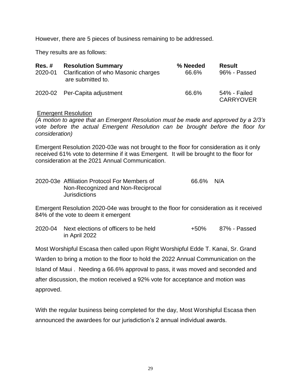However, there are 5 pieces of business remaining to be addressed.

They results are as follows:

| $Res. \#$<br>2020-01 | <b>Resolution Summary</b><br>Clarification of who Masonic charges<br>are submitted to. | % Needed<br>66.6% | <b>Result</b><br>96% - Passed    |
|----------------------|----------------------------------------------------------------------------------------|-------------------|----------------------------------|
|                      | 2020-02 Per-Capita adjustment                                                          | 66.6%             | 54% - Failed<br><b>CARRYOVER</b> |

#### Emergent Resolution

*(A motion to agree that an Emergent Resolution must be made and approved by a 2/3's vote before the actual Emergent Resolution can be brought before the floor for consideration)*

Emergent Resolution 2020-03e was not brought to the floor for consideration as it only received 61% vote to determine if it was Emergent. It will be brought to the floor for consideration at the 2021 Annual Communication.

| 2020-03e Affiliation Protocol For Members of | 66.6% | N/A |
|----------------------------------------------|-------|-----|
| Non-Recognized and Non-Reciprocal            |       |     |
| <b>Jurisdictions</b>                         |       |     |

Emergent Resolution 2020-04e was brought to the floor for consideration as it received 84% of the vote to deem it emergent

2020-04 Next elections of officers to be held +50% 87% - Passed in April 2022

Most Worshipful Escasa then called upon Right Worshipful Edde T. Kanai, Sr. Grand Warden to bring a motion to the floor to hold the 2022 Annual Communication on the Island of Maui . Needing a 66.6% approval to pass, it was moved and seconded and after discussion, the motion received a 92% vote for acceptance and motion was approved.

With the regular business being completed for the day, Most Worshipful Escasa then announced the awardees for our jurisdiction's 2 annual individual awards.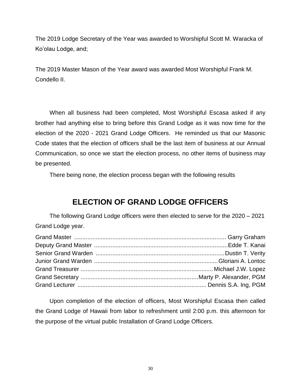The 2019 Lodge Secretary of the Year was awarded to Worshipful Scott M. Waracka of Ko'olau Lodge, and;

The 2019 Master Mason of the Year award was awarded Most Worshipful Frank M. Condello II.

When all business had been completed, Most Worshipful Escasa asked if any brother had anything else to bring before this Grand Lodge as it was now time for the election of the 2020 - 2021 Grand Lodge Officers. He reminded us that our Masonic Code states that the election of officers shall be the last item of business at our Annual Communication, so once we start the election process, no other items of business may be presented.

There being none, the election process began with the following results

# **ELECTION OF GRAND LODGE OFFICERS**

The following Grand Lodge officers were then elected to serve for the 2020 – 2021 Grand Lodge year.

Upon completion of the election of officers, Most Worshipful Escasa then called the Grand Lodge of Hawaii from labor to refreshment until 2:00 p.m. this afternoon for the purpose of the virtual public Installation of Grand Lodge Officers.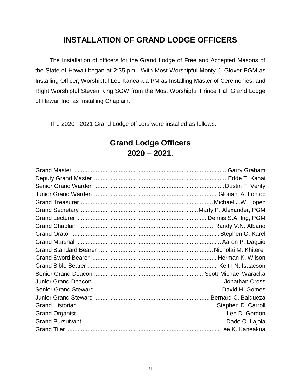# **INSTALLATION OF GRAND LODGE OFFICERS**

The Installation of officers for the Grand Lodge of Free and Accepted Masons of the State of Hawaii began at 2:35 pm. With Most Worshipful Monty J. Glover PGM as Installing Officer; Worshipful Lee Kaneakua PM as Installing Master of Ceremonies, and Right Worshipful Steven King SGW from the Most Worshipful Prince Hall Grand Lodge of Hawaii Inc. as Installing Chaplain.

The 2020 - 2021 Grand Lodge officers were installed as follows:

# **Grand Lodge Officers 2020 – 2021**.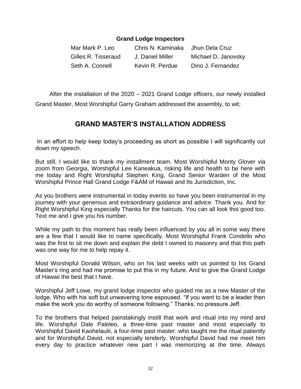### **Grand Lodge Inspectors**

| Mar Mark P. Leo     | Chris N. Kaminaka Jhun Dela Cruz |                     |
|---------------------|----------------------------------|---------------------|
| Gilles R. Tisseraud | J. Daniel Miller                 | Michael D. Janovsky |
| Seth A. Connell     | Kevin R. Perdue                  | Dino J. Fernandez   |

After the installation of the 2020 – 2021 Grand Lodge officers, our newly installed Grand Master, Most Worshipful Garry Graham addressed the assembly, to wit;

# **GRAND MASTER'S INSTALLATION ADDRESS**

In an effort to help keep today's proceeding as short as possible I will significantly cut down my speech.

But still, I would like to thank my installment team. Most Worshipful Monty Glover via zoom from Georgia, Worshipful Lee Kaneakua, risking life and health to be here with me today and Right Worshipful Stephen King, Grand Senior Warden of the Most Worshipful Prince Hall Grand Lodge F&AM of Hawaii and Its Jurisdiction, Inc.

As you brothers were instrumental in today events so have you been instrumental in my journey with your generous and extraordinary guidance and advice. Thank you. And for Right Worshipful King especially Thanks for the haircuts. You can all look this good too. Text me and I give you his number.

While my path to this moment has really been influenced by you all in some way there are a few that I would like to name specifically. Most Worshipful Frank Condello who was the first to sit me down and explain the debt I owned to masonry and that this path was one way for me to help repay it.

Most Worshipful Donald Wilson, who on his last weeks with us pointed to his Grand Master's ring and had me promise to put this in my future. And to give the Grand Lodge of Hawaii the best that I have.

Worshipful Jeff Lowe, my grand lodge inspector who guided me as a new Master of the lodge. Who with his soft but unwavering tone espoused. "If you want to be a leader then make the work you do worthy of someone following." Thanks, no pressure Jeff.

To the brothers that helped painstakingly instill that work and ritual into my mind and life. Worshipful Dale Paleleo, a three-time past master and most especially to Worshipful David Kaohelaulii, a four-time past master. who taught me the ritual patiently and for Worshipful David, not especially tenderly. Worshipful David had me meet him every day to practice whatever new part I was memorizing at the time. Always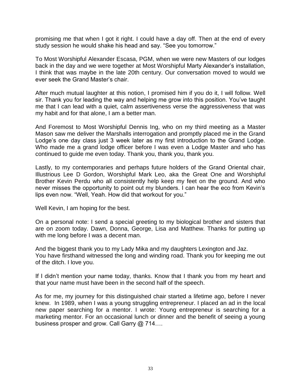promising me that when I got it right. I could have a day off. Then at the end of every study session he would shake his head and say. "See you tomorrow."

To Most Worshipful Alexander Escasa, PGM, when we were new Masters of our lodges back in the day and we were together at Most Worshipful Marty Alexander's installation, I think that was maybe in the late 20th century. Our conversation moved to would we ever seek the Grand Master's chair.

After much mutual laughter at this notion, I promised him if you do it, I will follow. Well sir. Thank you for leading the way and helping me grow into this position. You've taught me that I can lead with a quiet, calm assertiveness verse the aggressiveness that was my habit and for that alone, I am a better man.

And Foremost to Most Worshipful Dennis Ing, who on my third meeting as a Master Mason saw me deliver the Marshalls interrogation and promptly placed me in the Grand Lodge's one day class just 3 week later as my first introduction to the Grand Lodge. Who made me a grand lodge officer before I was even a Lodge Master and who has continued to guide me even today. Thank you, thank you, thank you.

Lastly, to my contemporaries and perhaps future holders of the Grand Oriental chair, Illustrious Lee D Gordon, Worshipful Mark Leo, aka the Great One and Worshipful Brother Kevin Perdu who all consistently help keep my feet on the ground. And who never misses the opportunity to point out my blunders. I can hear the eco from Kevin's lips even now. "Well, Yeah. How did that workout for you."

Well Kevin, I am hoping for the best.

On a personal note: I send a special greeting to my biological brother and sisters that are on zoom today. Dawn, Donna, George, Lisa and Matthew. Thanks for putting up with me long before I was a decent man.

And the biggest thank you to my Lady Mika and my daughters Lexington and Jaz. You have firsthand witnessed the long and winding road. Thank you for keeping me out of the ditch. I love you.

If I didn't mention your name today, thanks. Know that I thank you from my heart and that your name must have been in the second half of the speech.

As for me, my journey for this distinguished chair started a lifetime ago, before I never knew. In 1989, when I was a young struggling entrepreneur. I placed an ad in the local new paper searching for a mentor. I wrote: Young entrepreneur is searching for a marketing mentor. For an occasional lunch or dinner and the benefit of seeing a young business prosper and grow. Call Garry @ 714....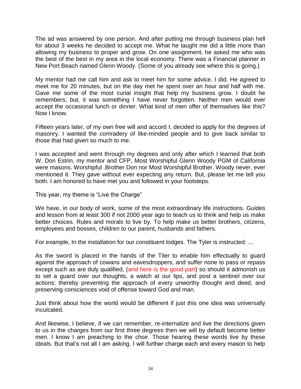The ad was answered by one person. And after putting me through business plan hell for about 3 weeks he decided to accept me. What he taught me did a little more than allowing my business to proper and grow. On one assignment, he asked me who was the best of the best in my area in the local economy. There was a Financial planner in New Port Beach named Glenn Woody. (Some of you already see where this is going.)

My mentor had me call him and ask to meet him for some advice. I did. He agreed to meet me for 20 minutes, but on the day met he spent over an hour and half with me. Gave me some of the most curial insight that help my business grow. I doubt he remembers; but, it was something I have never forgotten. Neither men would ever accept the occasional lunch or dinner. What kind of men offer of themselves like this? Now I know.

Fifteen years later, of my own free will and accord I, decided to apply for the degrees of masonry. I wanted the comradery of like-minded people and to give back similar to those that had given so much to me.

I was accepted and went through my degrees and only after which I learned that both W. Don Estrin, my mentor and CFP, Most Worshipful Glenn Woody PGM of California were masons. Worshipful .Brother Don nor Most Worshipful Brother. Woody never, ever mentioned it. They gave without ever expecting any return. But, please let me tell you both. I am honored to have met you and followed in your footsteps.

This year, my theme is "Live the Charge"

We have, in our body of work, some of the most extraordinary life instructions. Guides and lesson from at least 300 if not 2000 year ago to teach us to think and help us make better choices. Rules and morals to live by. To help make us better brothers, citizens, employees and bosses, children to our parent, husbands and fathers.

For example, In the installation for our constituent lodges. The Tyler is instructed: ...

As the sword is placed in the hands of the Tiler to enable him effectually to guard against the approach of cowans and eavesdroppers, and suffer none to pass or repass except such as are duly qualified, (and here is the good part) so should it admonish us to set a guard over our thoughts, a watch at our lips, and post a sentinel over our actions; thereby preventing the approach of every unworthy thought and deed, and preserving consciences void of offense toward God and man.

Just think about how the world would be different if just this one idea was universally inculcated.

And likewise, I believe, if we can remember, re-internalize and live the directions given to us in the charges from our first three degrees then we will by default become better men. I know I am preaching to the choir. Those hearing these words live by these ideals. But that's not all I am asking. I will further charge each and every mason to help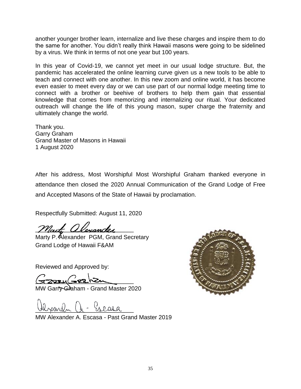another younger brother learn, internalize and live these charges and inspire them to do the same for another. You didn't really think Hawaii masons were going to be sidelined by a virus. We think in terms of not one year but 100 years.

In this year of Covid-19, we cannot yet meet in our usual lodge structure. But, the pandemic has accelerated the online learning curve given us a new tools to be able to teach and connect with one another. In this new zoom and online world, it has become even easier to meet every day or we can use part of our normal lodge meeting time to connect with a brother or beehive of brothers to help them gain that essential knowledge that comes from memorizing and internalizing our ritual. Your dedicated outreach will change the life of this young mason, super charge the fraternity and ultimately change the world.

Thank you. Garry Graham Grand Master of Masons in Hawaii 1 August 2020

After his address, Most Worshipful Most Worshipful Graham thanked everyone in attendance then closed the 2020 Annual Communication of the Grand Lodge of Free and Accepted Masons of the State of Hawaii by proclamation.

Respectfully Submitted: August 11, 2020

Marty allexander

Marty P. Alexander PGM, Grand Secretary Grand Lodge of Hawaii F&AM

Reviewed and Approved by:

 $z$ 

MW Garry Graham - Grand Master 2020

Greara

MW Alexander A. Escasa - Past Grand Master 2019

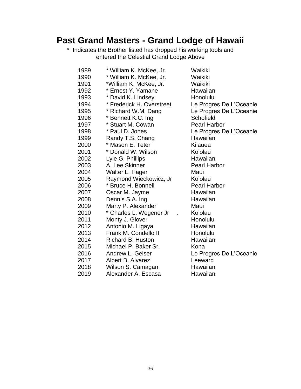# **Past Grand Masters - Grand Lodge of Hawaii**

\* Indicates the Brother listed has dropped his working tools and entered the Celestial Grand Lodge Above

| 1989 | * William K. McKee, Jr.   | Waikiki                 |
|------|---------------------------|-------------------------|
| 1990 | * William K. McKee, Jr.   | Waikiki                 |
| 1991 | *William K. McKee, Jr.    | Waikiki                 |
| 1992 | * Ernest Y. Yamane        | Hawaiian                |
| 1993 | * David K. Lindsey        | Honolulu                |
| 1994 | * Frederick H. Overstreet | Le Progres De L'Oceanie |
| 1995 | * Richard W.M. Dang       | Le Progres De L'Oceanie |
| 1996 | * Bennett K.C. Ing        | Schofield               |
| 1997 | * Stuart M. Cowan         | <b>Pearl Harbor</b>     |
| 1998 | * Paul D. Jones           | Le Progres De L'Oceanie |
| 1999 | Randy T.S. Chang          | Hawaiian                |
| 2000 | * Mason E. Teter          | Kilauea                 |
| 2001 | * Donald W. Wilson        | Ko'olau                 |
| 2002 | Lyle G. Phillips          | Hawaiian                |
| 2003 | A. Lee Skinner            | <b>Pearl Harbor</b>     |
| 2004 | Walter L. Hager           | Maui                    |
| 2005 | Raymond Wieckowicz, Jr    | Ko'olau                 |
| 2006 | * Bruce H. Bonnell        | Pearl Harbor            |
| 2007 | Oscar M. Jayme            | Hawaiian                |
| 2008 | Dennis S.A. Ing           | Hawaiian                |
| 2009 | Marty P. Alexander        | Maui                    |
| 2010 | * Charles L. Wegener Jr   | Ko'olau                 |
| 2011 | Monty J. Glover           | Honolulu                |
| 2012 | Antonio M. Ligaya         | Hawaiian                |
| 2013 | Frank M. Condello II      | Honolulu                |
| 2014 | <b>Richard B. Huston</b>  | Hawaiian                |
| 2015 | Michael P. Baker Sr.      | Kona                    |
| 2016 | Andrew L. Geiser          | Le Progres De L'Oceanie |
| 2017 | Albert B. Alvarez         | Leeward                 |
| 2018 | Wilson S. Camagan         | Hawaiian                |
| 2019 | Alexander A. Escasa       | Hawaiian                |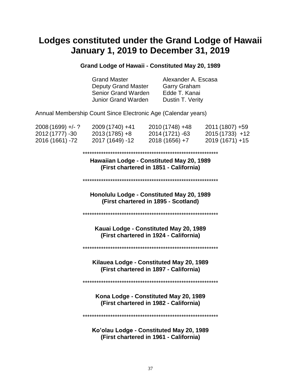# **Lodges constituted under the Grand Lodge of Hawaii January 1, 2019 to December 31, 2019**

#### **Grand Lodge of Hawaii - Constituted May 20, 1989**

| <b>Grand Master</b>        |  |
|----------------------------|--|
| <b>Deputy Grand Master</b> |  |
| Senior Grand Warden        |  |
| <b>Junior Grand Warden</b> |  |

Alexander A. Escasa Garry Graham Edde T. Kanai Dustin T. Verity

Annual Membership Count Since Electronic Age (Calendar years)

| $2008(1699) + -$ | 2009 (1740) +41 | $2010(1748) +48$ | $2011(1807) + 59$ |
|------------------|-----------------|------------------|-------------------|
| 2012 (1777) -30  | $2013(1785) +8$ | 2014 (1721) -63  | $2015(1733) +12$  |
| 2016 (1661) -72  | 2017 (1649) -12 | $2018(1656) + 7$ | $2019(1671) + 15$ |

#### \*\*\*\*\*\*\*\*\*\*\*\*\*\*\*\*\*\*\*\*\*\*\*\*\*\*\*\*\*\*\*\*\*\*\*\*\*\*\*\*\*\*\*\*\*\*\*\*\*\*\*\*\*\*\*\*\*\*\*

**Hawaiian Lodge - Constituted May 20, 1989 (First chartered in 1851 - California)**

\*\*\*\*\*\*\*\*\*\*\*\*\*\*\*\*\*\*\*\*\*\*\*\*\*\*\*\*\*\*\*\*\*\*\*\*\*\*\*\*\*\*\*\*\*\*\*\*\*\*\*\*\*\*\*\*\*\*\*

**Honolulu Lodge - Constituted May 20, 1989 (First chartered in 1895 - Scotland)**

\*\*\*\*\*\*\*\*\*\*\*\*\*\*\*\*\*\*\*\*\*\*\*\*\*\*\*\*\*\*\*\*\*\*\*\*\*\*\*\*\*\*\*\*\*\*\*\*\*\*\*\*\*\*\*\*\*\*\*

**Kauai Lodge - Constituted May 20, 1989 (First chartered in 1924 - California)**

\*\*\*\*\*\*\*\*\*\*\*\*\*\*\*\*\*\*\*\*\*\*\*\*\*\*\*\*\*\*\*\*\*\*\*\*\*\*\*\*\*\*\*\*\*\*\*\*\*\*\*\*\*\*\*\*\*\*\*

**Kilauea Lodge - Constituted May 20, 1989 (First chartered in 1897 - California)**

\*\*\*\*\*\*\*\*\*\*\*\*\*\*\*\*\*\*\*\*\*\*\*\*\*\*\*\*\*\*\*\*\*\*\*\*\*\*\*\*\*\*\*\*\*\*\*\*\*\*\*\*\*\*\*\*\*\*\*

**Kona Lodge - Constituted May 20, 1989 (First chartered in 1982 - California)**

\*\*\*\*\*\*\*\*\*\*\*\*\*\*\*\*\*\*\*\*\*\*\*\*\*\*\*\*\*\*\*\*\*\*\*\*\*\*\*\*\*\*\*\*\*\*\*\*\*\*\*\*\*\*\*\*\*\*\*

**Ko'olau Lodge - Constituted May 20, 1989 (First chartered in 1961 - California)**